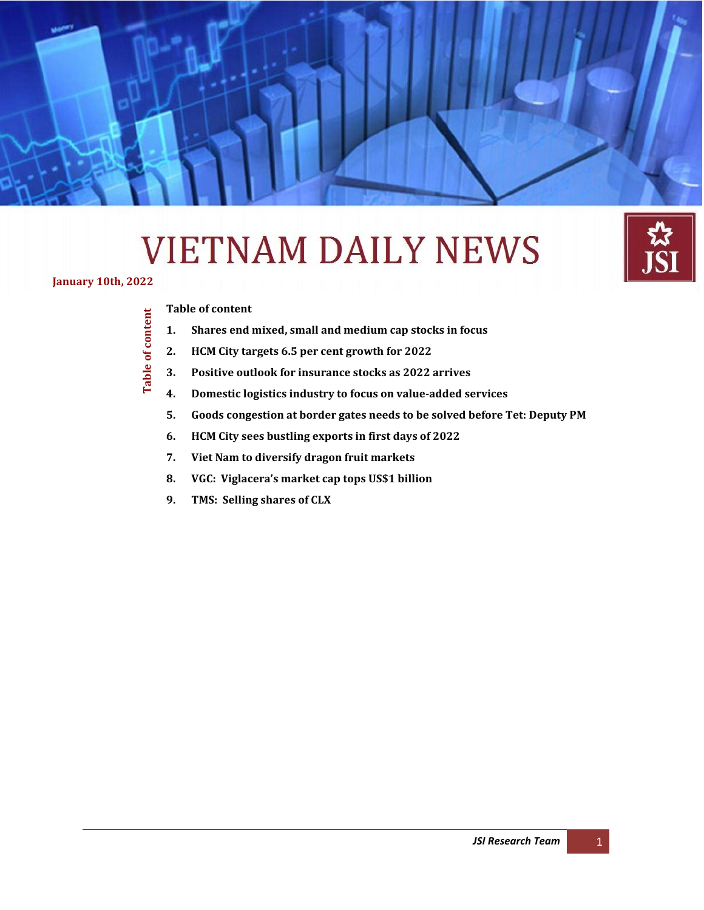# **VIETNAM DAILY NEWS**

**January 10th, 2022**

<span id="page-0-0"></span>Table of content

**[Table of content](#page-0-0)**

- **1. [Shares end mixed, small and medium cap stocks in focus](#page-1-0)**
- **2. [HCM City targets 6.5 per cent growth for 2022](#page-2-0)**

**Daily Information Update – Japan Securities Co., Ltd** *(January 10th , 2022)*

- **Table of content 3. [Positive outlook for insurance stocks as 2022 arrives](#page-3-0)**
	- **4. [Domestic logistics industry to focus on value-added services](#page-4-0)**
	- **5. [Goods congestion at border gates needs to be solved before Tet: Deputy PM](#page-5-0)**
	- **6. [HCM City sees bustling exports in first days of 2022](#page-7-0)**
	- **7. [Viet Nam to diversify dragon fruit markets](#page-8-0)**
	- **8. [VGC: Viglacera's market cap tops US\\$1 billion](#page-10-0)**
	- **9. [TMS: Selling shares of CLX](#page-10-1)**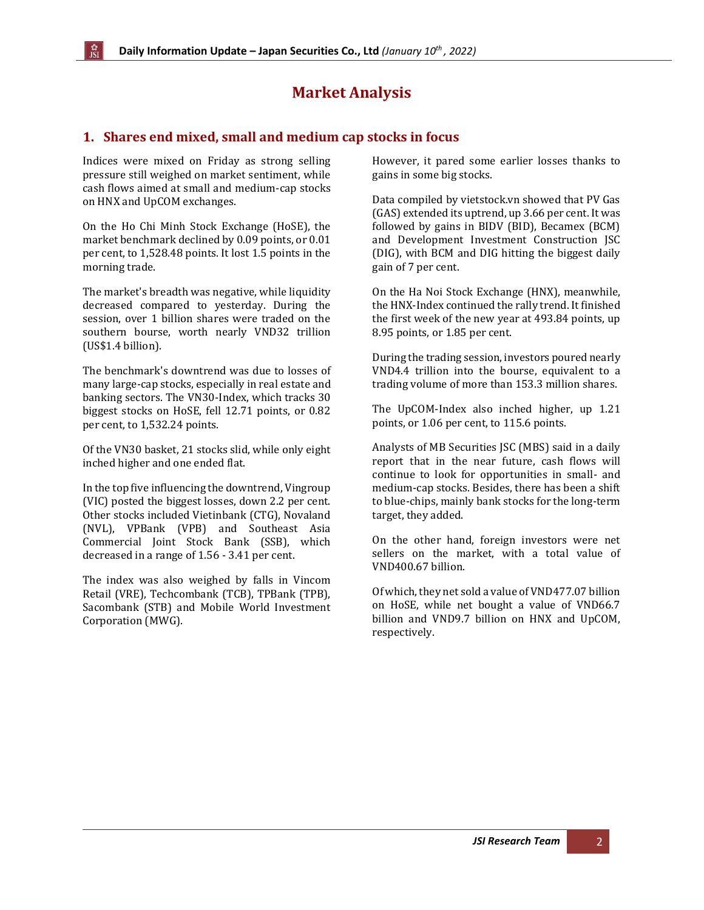# **Market Analysis**

# <span id="page-1-0"></span>**1. Shares end mixed, small and medium cap stocks in focus**

Indices were mixed on Friday as strong selling pressure still weighed on market sentiment, while cash flows aimed at small and medium-cap stocks on HNX and UpCOM exchanges.

On the Ho Chi Minh Stock Exchange (HoSE), the market benchmark declined by 0.09 points, or 0.01 per cent, to 1,528.48 points. It lost 1.5 points in the morning trade.

The market's breadth was negative, while liquidity decreased compared to yesterday. During the session, over 1 billion shares were traded on the southern bourse, worth nearly VND32 trillion (US\$1.4 billion).

The benchmark's downtrend was due to losses of many large-cap stocks, especially in real estate and banking sectors. The VN30-Index, which tracks 30 biggest stocks on HoSE, fell 12.71 points, or 0.82 per cent, to 1,532.24 points.

Of the VN30 basket, 21 stocks slid, while only eight inched higher and one ended flat.

In the top five influencing the downtrend, Vingroup (VIC) posted the biggest losses, down 2.2 per cent. Other stocks included Vietinbank (CTG), Novaland (NVL), VPBank (VPB) and Southeast Asia Commercial Joint Stock Bank (SSB), which decreased in a range of 1.56 - 3.41 per cent.

The index was also weighed by falls in Vincom Retail (VRE), Techcombank (TCB), TPBank (TPB), Sacombank (STB) and Mobile World Investment Corporation (MWG).

However, it pared some earlier losses thanks to gains in some big stocks.

Data compiled by vietstock.vn showed that PV Gas (GAS) extended its uptrend, up 3.66 per cent. It was followed by gains in BIDV (BID), Becamex (BCM) and Development Investment Construction JSC (DIG), with BCM and DIG hitting the biggest daily gain of 7 per cent.

On the Ha Noi Stock Exchange (HNX), meanwhile, the HNX-Index continued the rally trend. It finished the first week of the new year at 493.84 points, up 8.95 points, or 1.85 per cent.

During the trading session, investors poured nearly VND4.4 trillion into the bourse, equivalent to a trading volume of more than 153.3 million shares.

The UpCOM-Index also inched higher, up 1.21 points, or 1.06 per cent, to 115.6 points.

Analysts of MB Securities JSC (MBS) said in a daily report that in the near future, cash flows will continue to look for opportunities in small- and medium-cap stocks. Besides, there has been a shift to blue-chips, mainly bank stocks for the long-term target, they added.

On the other hand, foreign investors were net sellers on the market, with a total value of VND400.67 billion.

Of which, they net sold a value of VND477.07 billion on HoSE, while net bought a value of VND66.7 billion and VND9.7 billion on HNX and UpCOM, respectively.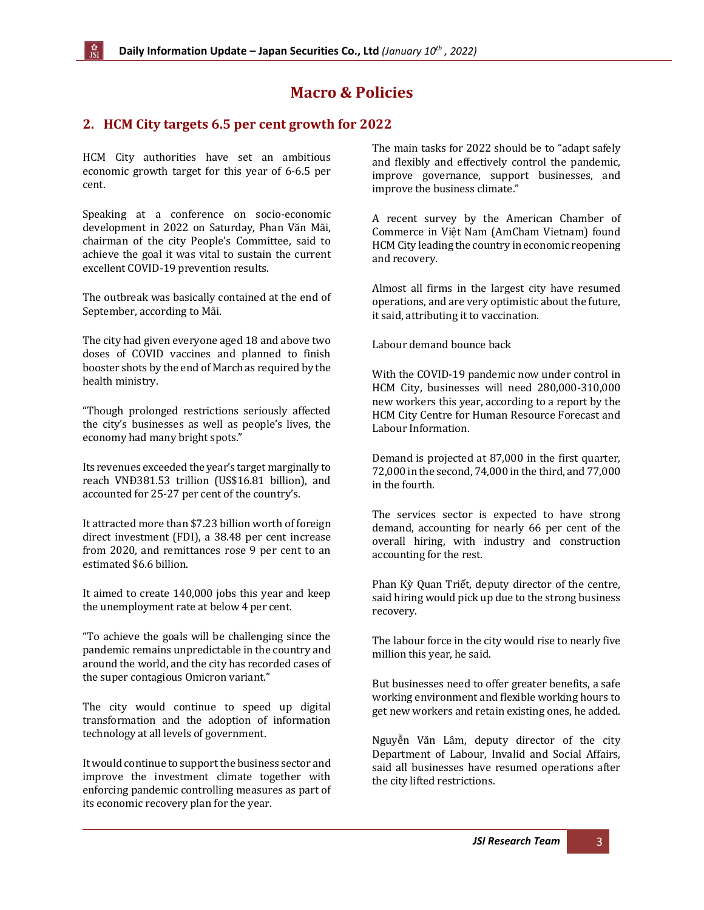# **Macro & Policies**

## <span id="page-2-0"></span>**2. HCM City targets 6.5 per cent growth for 2022**

HCM City authorities have set an ambitious economic growth target for this year of 6-6.5 per cent.

Speaking at a conference on socio-economic development in 2022 on Saturday, Phan Văn Mãi, chairman of the city People's Committee, said to achieve the goal it was vital to sustain the current excellent COVID-19 prevention results.

The outbreak was basically contained at the end of September, according to Mãi.

The city had given everyone aged 18 and above two doses of COVID vaccines and planned to finish booster shots by the end of March as required by the health ministry.

"Though prolonged restrictions seriously affected the city's businesses as well as people's lives, the economy had many bright spots."

Its revenues exceeded the year's target marginally to reach VNĐ381.53 trillion (US\$16.81 billion), and accounted for 25-27 per cent of the country's.

It attracted more than \$7.23 billion worth of foreign direct investment (FDI), a 38.48 per cent increase from 2020, and remittances rose 9 per cent to an estimated \$6.6 billion.

It aimed to create 140,000 jobs this year and keep the unemployment rate at below 4 per cent.

"To achieve the goals will be challenging since the pandemic remains unpredictable in the country and around the world, and the city has recorded cases of the super contagious Omicron variant."

The city would continue to speed up digital transformation and the adoption of information technology at all levels of government.

It would continue to support the business sector and improve the investment climate together with enforcing pandemic controlling measures as part of its economic recovery plan for the year.

The main tasks for 2022 should be to "adapt safely and flexibly and effectively control the pandemic, improve governance, support businesses, and improve the business climate."

A recent survey by the American Chamber of Commerce in Việt Nam (AmCham Vietnam) found HCM City leading the country in economic reopening and recovery.

Almost all firms in the largest city have resumed operations, and are very optimistic about the future, it said, attributing it to vaccination.

Labour demand bounce back

With the COVID-19 pandemic now under control in HCM City, businesses will need 280,000-310,000 new workers this year, according to a report by the HCM City Centre for Human Resource Forecast and Labour Information.

Demand is projected at 87,000 in the first quarter, 72,000 in the second, 74,000 in the third, and 77,000 in the fourth.

The services sector is expected to have strong demand, accounting for nearly 66 per cent of the overall hiring, with industry and construction accounting for the rest.

Phan Kỳ Quan Triết, deputy director of the centre, said hiring would pick up due to the strong business recovery.

The labour force in the city would rise to nearly five million this year, he said.

But businesses need to offer greater benefits, a safe working environment and flexible working hours to get new workers and retain existing ones, he added.

Nguyễn Văn Lâm, deputy director of the city Department of Labour, Invalid and Social Affairs, said all businesses have resumed operations after the city lifted restrictions.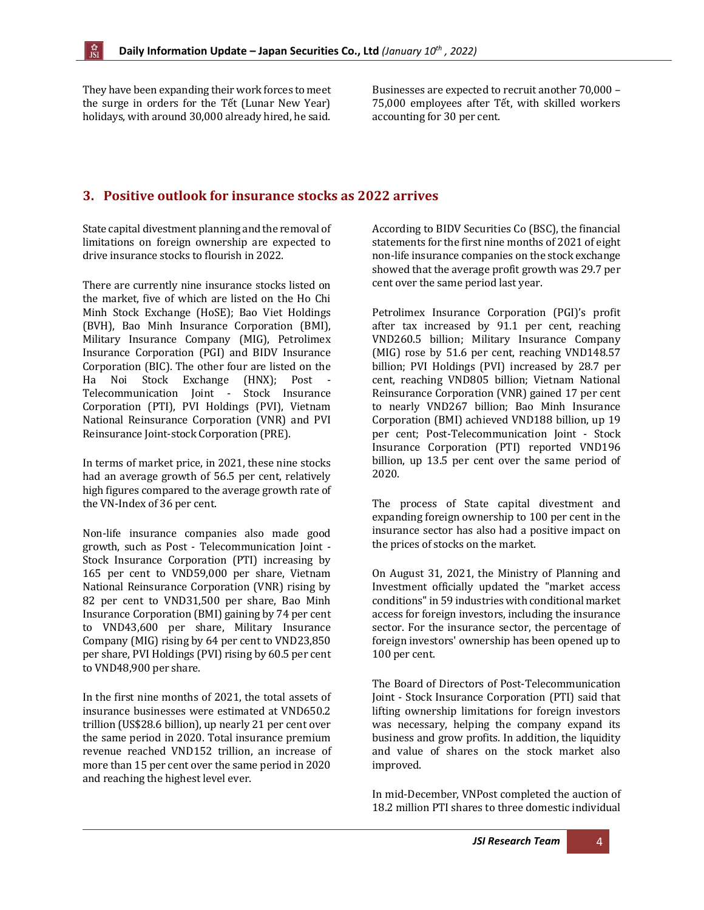They have been expanding their work forces to meet the surge in orders for the Tết (Lunar New Year) holidays, with around 30,000 already hired, he said.

Businesses are expected to recruit another 70,000 – 75,000 employees after Tết, with skilled workers accounting for 30 per cent.

## <span id="page-3-0"></span>**3. Positive outlook for insurance stocks as 2022 arrives**

State capital divestment planning and the removal of limitations on foreign ownership are expected to drive insurance stocks to flourish in 2022.

There are currently nine insurance stocks listed on the market, five of which are listed on the Ho Chi Minh Stock Exchange (HoSE); Bao Viet Holdings (BVH), Bao Minh Insurance Corporation (BMI), Military Insurance Company (MIG), Petrolimex Insurance Corporation (PGI) and BIDV Insurance Corporation (BIC). The other four are listed on the Ha Noi Stock Exchange (HNX); Post - Telecommunication Joint - Stock Insurance Corporation (PTI), PVI Holdings (PVI), Vietnam National Reinsurance Corporation (VNR) and PVI Reinsurance Joint-stock Corporation (PRE).

In terms of market price, in 2021, these nine stocks had an average growth of 56.5 per cent, relatively high figures compared to the average growth rate of the VN-Index of 36 per cent.

Non-life insurance companies also made good growth, such as Post - Telecommunication Joint - Stock Insurance Corporation (PTI) increasing by 165 per cent to VND59,000 per share, Vietnam National Reinsurance Corporation (VNR) rising by 82 per cent to VND31,500 per share, Bao Minh Insurance Corporation (BMI) gaining by 74 per cent to VND43,600 per share, Military Insurance Company (MIG) rising by 64 per cent to VND23,850 per share, PVI Holdings (PVI) rising by 60.5 per cent to VND48,900 per share.

In the first nine months of 2021, the total assets of insurance businesses were estimated at VND650.2 trillion (US\$28.6 billion), up nearly 21 per cent over the same period in 2020. Total insurance premium revenue reached VND152 trillion, an increase of more than 15 per cent over the same period in 2020 and reaching the highest level ever.

According to BIDV Securities Co (BSC), the financial statements for the first nine months of 2021 of eight non-life insurance companies on the stock exchange showed that the average profit growth was 29.7 per cent over the same period last year.

Petrolimex Insurance Corporation (PGI)'s profit after tax increased by 91.1 per cent, reaching VND260.5 billion; Military Insurance Company (MIG) rose by 51.6 per cent, reaching VND148.57 billion; PVI Holdings (PVI) increased by 28.7 per cent, reaching VND805 billion; Vietnam National Reinsurance Corporation (VNR) gained 17 per cent to nearly VND267 billion; Bao Minh Insurance Corporation (BMI) achieved VND188 billion, up 19 per cent; Post-Telecommunication Joint - Stock Insurance Corporation (PTI) reported VND196 billion, up 13.5 per cent over the same period of 2020.

The process of State capital divestment and expanding foreign ownership to 100 per cent in the insurance sector has also had a positive impact on the prices of stocks on the market.

On August 31, 2021, the Ministry of Planning and Investment officially updated the "market access conditions" in 59 industries with conditional market access for foreign investors, including the insurance sector. For the insurance sector, the percentage of foreign investors' ownership has been opened up to 100 per cent.

The Board of Directors of Post-Telecommunication Joint - Stock Insurance Corporation (PTI) said that lifting ownership limitations for foreign investors was necessary, helping the company expand its business and grow profits. In addition, the liquidity and value of shares on the stock market also improved.

In mid-December, VNPost completed the auction of 18.2 million PTI shares to three domestic individual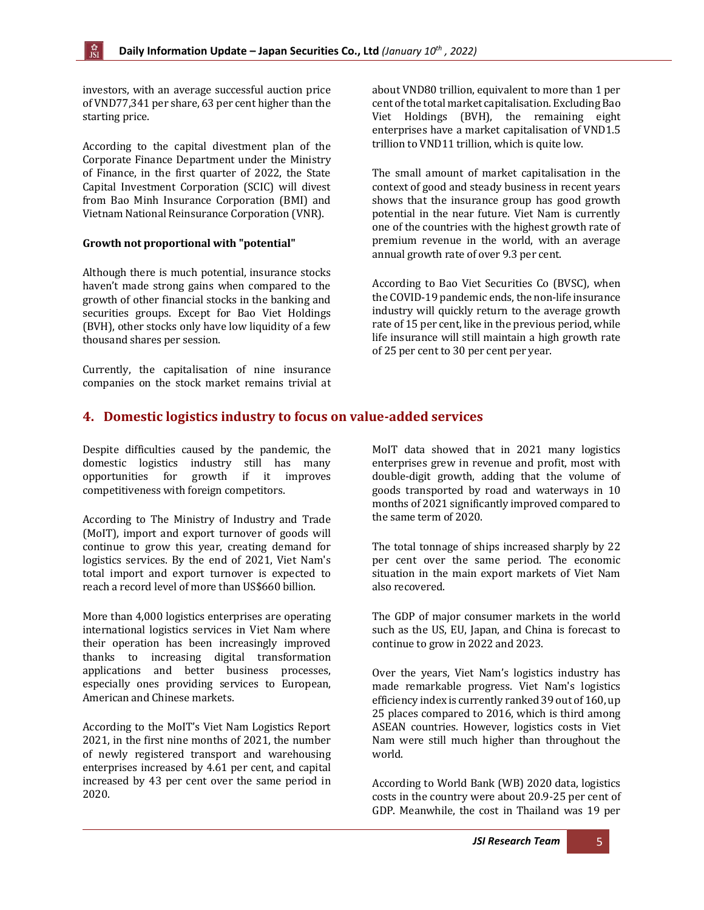investors, with an average successful auction price of VND77,341 per share, 63 per cent higher than the starting price.

According to the capital divestment plan of the Corporate Finance Department under the Ministry of Finance, in the first quarter of 2022, the State Capital Investment Corporation (SCIC) will divest from Bao Minh Insurance Corporation (BMI) and Vietnam National Reinsurance Corporation (VNR).

#### **Growth not proportional with "potential"**

Although there is much potential, insurance stocks haven't made strong gains when compared to the growth of other financial stocks in the banking and securities groups. Except for Bao Viet Holdings (BVH), other stocks only have low liquidity of a few thousand shares per session.

Currently, the capitalisation of nine insurance companies on the stock market remains trivial at about VND80 trillion, equivalent to more than 1 per cent of the total market capitalisation. Excluding Bao Viet Holdings (BVH), the remaining eight enterprises have a market capitalisation of VND1.5 trillion to VND11 trillion, which is quite low.

The small amount of market capitalisation in the context of good and steady business in recent years shows that the insurance group has good growth potential in the near future. Viet Nam is currently one of the countries with the highest growth rate of premium revenue in the world, with an average annual growth rate of over 9.3 per cent.

According to Bao Viet Securities Co (BVSC), when the COVID-19 pandemic ends, the non-life insurance industry will quickly return to the average growth rate of 15 per cent, like in the previous period, while life insurance will still maintain a high growth rate of 25 per cent to 30 per cent per year.

# <span id="page-4-0"></span>**4. Domestic logistics industry to focus on value-added services**

Despite difficulties caused by the pandemic, the domestic logistics industry still has many opportunities for growth if it improves competitiveness with foreign competitors.

According to The Ministry of Industry and Trade (MoIT), import and export turnover of goods will continue to grow this year, creating demand for logistics services. By the end of 2021, Viet Nam's total import and export turnover is expected to reach a record level of more than US\$660 billion.

More than 4,000 logistics enterprises are operating international logistics services in Viet Nam where their operation has been increasingly improved thanks to increasing digital transformation applications and better business processes, especially ones providing services to European, American and Chinese markets.

According to the MoIT's Viet Nam Logistics Report 2021, in the first nine months of 2021, the number of newly registered transport and warehousing enterprises increased by 4.61 per cent, and capital increased by 43 per cent over the same period in 2020.

MoIT data showed that in 2021 many logistics enterprises grew in revenue and profit, most with double-digit growth, adding that the volume of goods transported by road and waterways in 10 months of 2021 significantly improved compared to the same term of 2020.

The total tonnage of ships increased sharply by 22 per cent over the same period. The economic situation in the main export markets of Viet Nam also recovered.

The GDP of major consumer markets in the world such as the US, EU, Japan, and China is forecast to continue to grow in 2022 and 2023.

Over the years, Viet Nam's logistics industry has made remarkable progress. Viet Nam's logistics efficiency index is currently ranked 39 out of 160, up 25 places compared to 2016, which is third among ASEAN countries. However, logistics costs in Viet Nam were still much higher than throughout the world.

According to World Bank (WB) 2020 data, logistics costs in the country were about 20.9-25 per cent of GDP. Meanwhile, the cost in Thailand was 19 per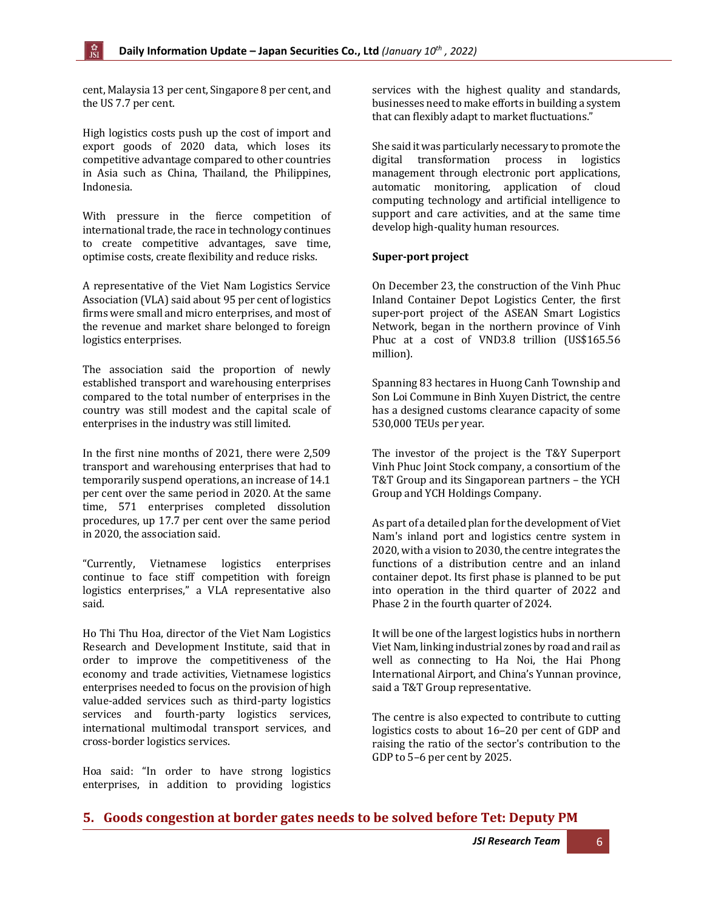cent, Malaysia 13 per cent, Singapore 8 per cent, and the US 7.7 per cent.

High logistics costs push up the cost of import and export goods of 2020 data, which loses its competitive advantage compared to other countries in Asia such as China, Thailand, the Philippines, Indonesia.

With pressure in the fierce competition of international trade, the race in technology continues to create competitive advantages, save time, optimise costs, create flexibility and reduce risks.

A representative of the Viet Nam Logistics Service Association (VLA) said about 95 per cent of logistics firms were small and micro enterprises, and most of the revenue and market share belonged to foreign logistics enterprises.

The association said the proportion of newly established transport and warehousing enterprises compared to the total number of enterprises in the country was still modest and the capital scale of enterprises in the industry was still limited.

In the first nine months of 2021, there were 2,509 transport and warehousing enterprises that had to temporarily suspend operations, an increase of 14.1 per cent over the same period in 2020. At the same time, 571 enterprises completed dissolution procedures, up 17.7 per cent over the same period in 2020, the association said.

"Currently, Vietnamese logistics enterprises continue to face stiff competition with foreign logistics enterprises," a VLA representative also said.

Ho Thi Thu Hoa, director of the Viet Nam Logistics Research and Development Institute, said that in order to improve the competitiveness of the economy and trade activities, Vietnamese logistics enterprises needed to focus on the provision of high value-added services such as third-party logistics services and fourth-party logistics services, international multimodal transport services, and cross-border logistics services.

Hoa said: "In order to have strong logistics enterprises, in addition to providing logistics services with the highest quality and standards, businesses need to make efforts in building a system that can flexibly adapt to market fluctuations."

She said it was particularly necessary to promote the digital transformation process in logistics management through electronic port applications, automatic monitoring, application of cloud computing technology and artificial intelligence to support and care activities, and at the same time develop high-quality human resources.

#### **Super-port project**

On December 23, the construction of the Vinh Phuc Inland Container Depot Logistics Center, the first super-port project of the ASEAN Smart Logistics Network, began in the northern province of Vinh Phuc at a cost of VND3.8 trillion (US\$165.56 million).

Spanning 83 hectares in Huong Canh Township and Son Loi Commune in Binh Xuyen District, the centre has a designed customs clearance capacity of some 530,000 TEUs per year.

The investor of the project is the T&Y Superport Vinh Phuc Joint Stock company, a consortium of the T&T Group and its Singaporean partners – the YCH Group and YCH Holdings Company.

As part of a detailed plan for the development of Viet Nam's inland port and logistics centre system in 2020, with a vision to 2030, the centre integrates the functions of a distribution centre and an inland container depot. Its first phase is planned to be put into operation in the third quarter of 2022 and Phase 2 in the fourth quarter of 2024.

It will be one of the largest logistics hubs in northern Viet Nam, linking industrial zones by road and rail as well as connecting to Ha Noi, the Hai Phong International Airport, and China's Yunnan province, said a T&T Group representative.

The centre is also expected to contribute to cutting logistics costs to about 16–20 per cent of GDP and raising the ratio of the sector's contribution to the GDP to 5–6 per cent by 2025.

#### <span id="page-5-0"></span>**5. Goods congestion at border gates needs to be solved before Tet: Deputy PM**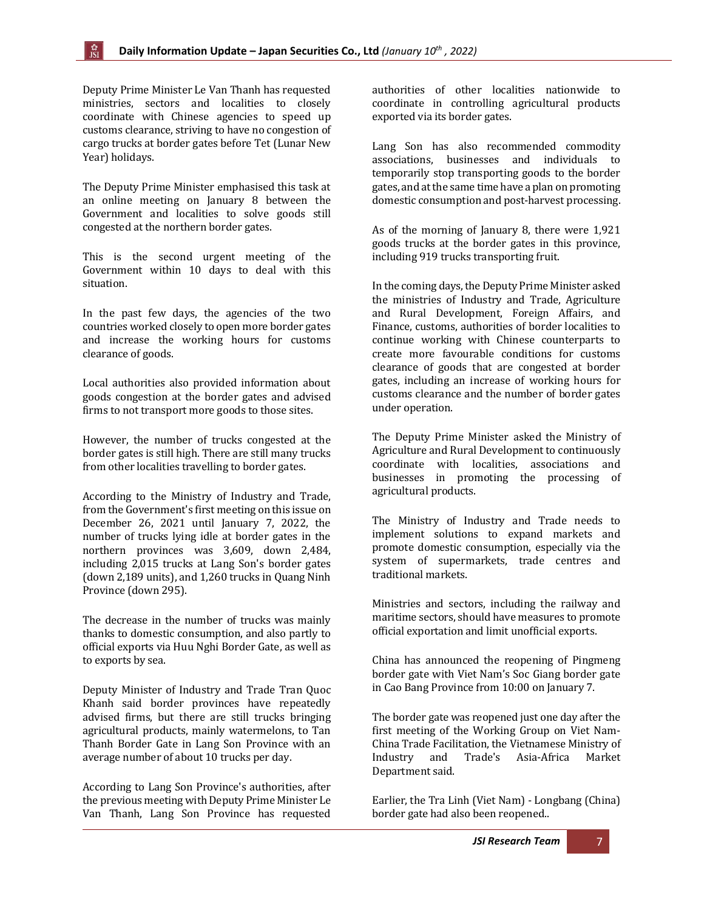Deputy Prime Minister Le Van Thanh has requested ministries, sectors and localities to closely coordinate with Chinese agencies to speed up customs clearance, striving to have no congestion of cargo trucks at border gates before Tet (Lunar New Year) holidays.

The Deputy Prime Minister emphasised this task at an online meeting on January 8 between the Government and localities to solve goods still congested at the northern border gates.

This is the second urgent meeting of the Government within 10 days to deal with this situation.

In the past few days, the agencies of the two countries worked closely to open more border gates and increase the working hours for customs clearance of goods.

Local authorities also provided information about goods congestion at the border gates and advised firms to not transport more goods to those sites.

However, the number of trucks congested at the border gates is still high. There are still many trucks from other localities travelling to border gates.

According to the Ministry of Industry and Trade, from the Government's first meeting on this issue on December 26, 2021 until January 7, 2022, the number of trucks lying idle at border gates in the northern provinces was 3,609, down 2,484, including 2,015 trucks at Lang Son's border gates (down 2,189 units), and 1,260 trucks in Quang Ninh Province (down 295).

The decrease in the number of trucks was mainly thanks to domestic consumption, and also partly to official exports via Huu Nghi Border Gate, as well as to exports by sea.

Deputy Minister of Industry and Trade Tran Quoc Khanh said border provinces have repeatedly advised firms, but there are still trucks bringing agricultural products, mainly watermelons, to Tan Thanh Border Gate in Lang Son Province with an average number of about 10 trucks per day.

According to Lang Son Province's authorities, after the previous meeting with Deputy Prime Minister Le Van Thanh, Lang Son Province has requested

authorities of other localities nationwide to coordinate in controlling agricultural products exported via its border gates.

Lang Son has also recommended commodity associations, businesses and individuals to temporarily stop transporting goods to the border gates, and at the same time have a plan on promoting domestic consumption and post-harvest processing.

As of the morning of January 8, there were 1,921 goods trucks at the border gates in this province, including 919 trucks transporting fruit.

In the coming days, the Deputy Prime Minister asked the ministries of Industry and Trade, Agriculture and Rural Development, Foreign Affairs, and Finance, customs, authorities of border localities to continue working with Chinese counterparts to create more favourable conditions for customs clearance of goods that are congested at border gates, including an increase of working hours for customs clearance and the number of border gates under operation.

The Deputy Prime Minister asked the Ministry of Agriculture and Rural Development to continuously coordinate with localities, associations and businesses in promoting the processing of agricultural products.

The Ministry of Industry and Trade needs to implement solutions to expand markets and promote domestic consumption, especially via the system of supermarkets, trade centres and traditional markets.

Ministries and sectors, including the railway and maritime sectors, should have measures to promote official exportation and limit unofficial exports.

China has announced the reopening of Pingmeng border gate with Viet Nam's Soc Giang border gate in Cao Bang Province from 10:00 on January 7.

The border gate was reopened just one day after the first meeting of the Working Group on Viet Nam-China Trade Facilitation, the Vietnamese Ministry of Industry and Trade's Asia-Africa Market Department said.

Earlier, the Tra Linh (Viet Nam) - Longbang (China) border gate had also been reopened..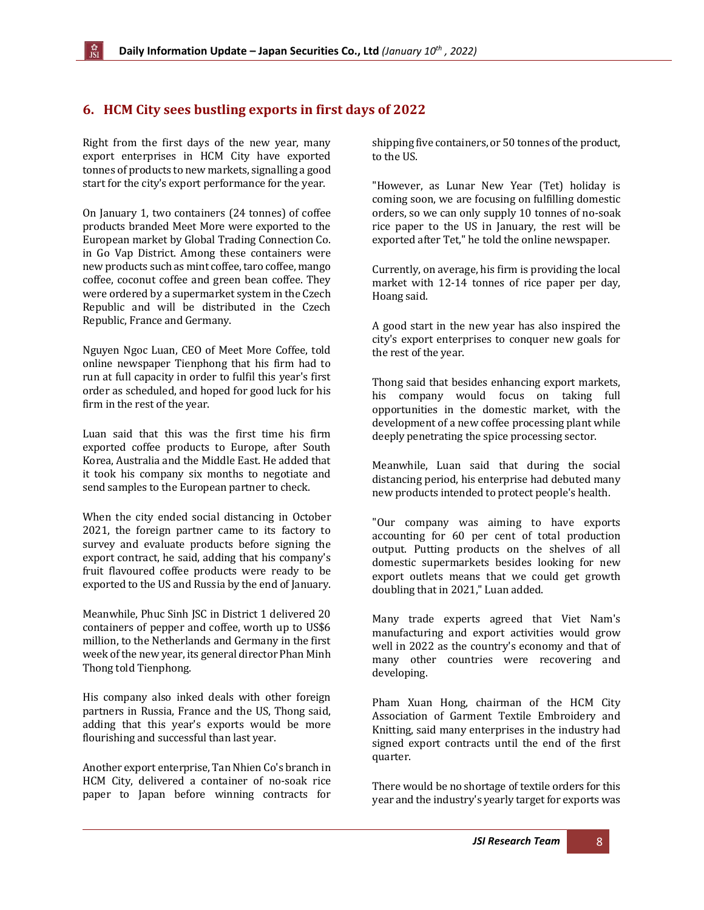# <span id="page-7-0"></span>**6. HCM City sees bustling exports in first days of 2022**

Right from the first days of the new year, many export enterprises in HCM City have exported tonnes of products to new markets, signalling a good start for the city's export performance for the year.

On January 1, two containers (24 tonnes) of coffee products branded Meet More were exported to the European market by Global Trading Connection Co. in Go Vap District. Among these containers were new products such as mint coffee, taro coffee, mango coffee, coconut coffee and green bean coffee. They were ordered by a supermarket system in the Czech Republic and will be distributed in the Czech Republic, France and Germany.

Nguyen Ngoc Luan, CEO of Meet More Coffee, told online newspaper Tienphong that his firm had to run at full capacity in order to fulfil this year's first order as scheduled, and hoped for good luck for his firm in the rest of the year.

Luan said that this was the first time his firm exported coffee products to Europe, after South Korea, Australia and the Middle East. He added that it took his company six months to negotiate and send samples to the European partner to check.

When the city ended social distancing in October 2021, the foreign partner came to its factory to survey and evaluate products before signing the export contract, he said, adding that his company's fruit flavoured coffee products were ready to be exported to the US and Russia by the end of January.

Meanwhile, Phuc Sinh JSC in District 1 delivered 20 containers of pepper and coffee, worth up to US\$6 million, to the Netherlands and Germany in the first week of the new year, its general director Phan Minh Thong told Tienphong.

His company also inked deals with other foreign partners in Russia, France and the US, Thong said, adding that this year's exports would be more flourishing and successful than last year.

Another export enterprise, Tan Nhien Co's branch in HCM City, delivered a container of no-soak rice paper to Japan before winning contracts for

shipping five containers, or 50 tonnes of the product, to the US.

"However, as Lunar New Year (Tet) holiday is coming soon, we are focusing on fulfilling domestic orders, so we can only supply 10 tonnes of no-soak rice paper to the US in January, the rest will be exported after Tet," he told the online newspaper.

Currently, on average, his firm is providing the local market with 12-14 tonnes of rice paper per day, Hoang said.

A good start in the new year has also inspired the city's export enterprises to conquer new goals for the rest of the year.

Thong said that besides enhancing export markets, his company would focus on taking full opportunities in the domestic market, with the development of a new coffee processing plant while deeply penetrating the spice processing sector.

Meanwhile, Luan said that during the social distancing period, his enterprise had debuted many new products intended to protect people's health.

"Our company was aiming to have exports accounting for 60 per cent of total production output. Putting products on the shelves of all domestic supermarkets besides looking for new export outlets means that we could get growth doubling that in 2021," Luan added.

Many trade experts agreed that Viet Nam's manufacturing and export activities would grow well in 2022 as the country's economy and that of many other countries were recovering and developing.

Pham Xuan Hong, chairman of the HCM City Association of Garment Textile Embroidery and Knitting, said many enterprises in the industry had signed export contracts until the end of the first quarter.

There would be no shortage of textile orders for this year and the industry's yearly target for exports was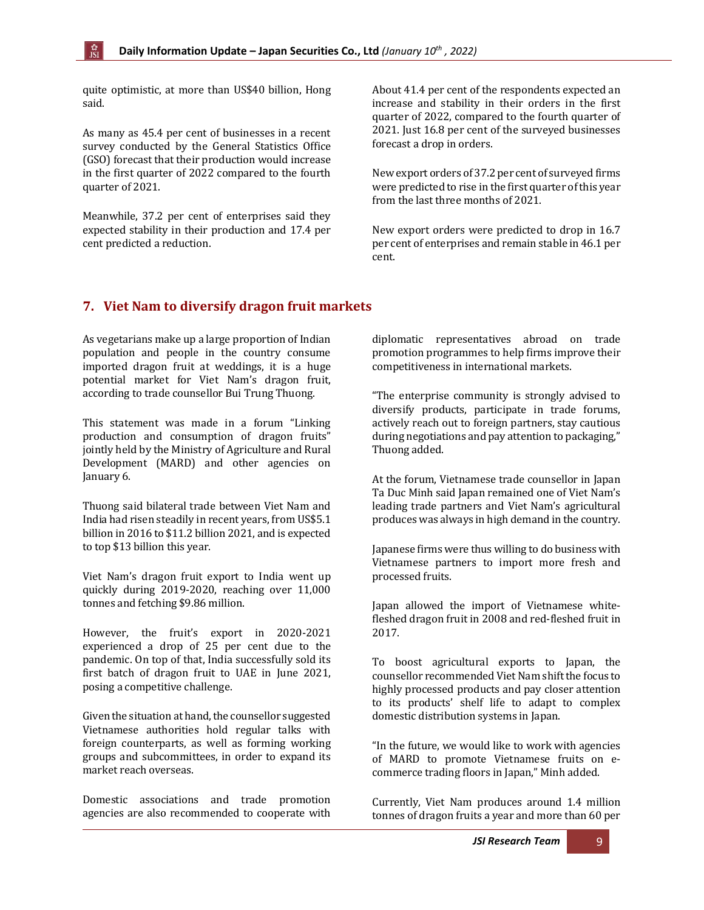quite optimistic, at more than US\$40 billion, Hong said.

As many as 45.4 per cent of businesses in a recent survey conducted by the General Statistics Office (GSO) forecast that their production would increase in the first quarter of 2022 compared to the fourth quarter of 2021.

Meanwhile, 37.2 per cent of enterprises said they expected stability in their production and 17.4 per cent predicted a reduction.

About 41.4 per cent of the respondents expected an increase and stability in their orders in the first quarter of 2022, compared to the fourth quarter of 2021. Just 16.8 per cent of the surveyed businesses forecast a drop in orders.

New export orders of 37.2 per cent of surveyed firms were predicted to rise in the first quarter of this year from the last three months of 2021.

New export orders were predicted to drop in 16.7 per cent of enterprises and remain stable in 46.1 per cent.

# <span id="page-8-0"></span>**7. Viet Nam to diversify dragon fruit markets**

As vegetarians make up a large proportion of Indian population and people in the country consume imported dragon fruit at weddings, it is a huge potential market for Viet Nam's dragon fruit, according to trade counsellor Bui Trung Thuong.

This statement was made in a forum "Linking production and consumption of dragon fruits" jointly held by the Ministry of Agriculture and Rural Development (MARD) and other agencies on January 6.

Thuong said bilateral trade between Viet Nam and India had risen steadily in recent years, from US\$5.1 billion in 2016 to \$11.2 billion 2021, and is expected to top \$13 billion this year.

Viet Nam's dragon fruit export to India went up quickly during 2019-2020, reaching over 11,000 tonnes and fetching \$9.86 million.

However, the fruit's export in 2020-2021 experienced a drop of 25 per cent due to the pandemic. On top of that, India successfully sold its first batch of dragon fruit to UAE in June 2021, posing a competitive challenge.

Given the situation at hand, the counsellor suggested Vietnamese authorities hold regular talks with foreign counterparts, as well as forming working groups and subcommittees, in order to expand its market reach overseas.

Domestic associations and trade promotion agencies are also recommended to cooperate with diplomatic representatives abroad on trade promotion programmes to help firms improve their competitiveness in international markets.

"The enterprise community is strongly advised to diversify products, participate in trade forums, actively reach out to foreign partners, stay cautious during negotiations and pay attention to packaging," Thuong added.

At the forum, Vietnamese trade counsellor in Japan Ta Duc Minh said Japan remained one of Viet Nam's leading trade partners and Viet Nam's agricultural produces was always in high demand in the country.

Japanese firms were thus willing to do business with Vietnamese partners to import more fresh and processed fruits.

Japan allowed the import of Vietnamese whitefleshed dragon fruit in 2008 and red-fleshed fruit in 2017.

To boost agricultural exports to Japan, the counsellor recommended Viet Nam shift the focus to highly processed products and pay closer attention to its products' shelf life to adapt to complex domestic distribution systems in Japan.

"In the future, we would like to work with agencies of MARD to promote Vietnamese fruits on ecommerce trading floors in Japan," Minh added.

Currently, Viet Nam produces around 1.4 million tonnes of dragon fruits a year and more than 60 per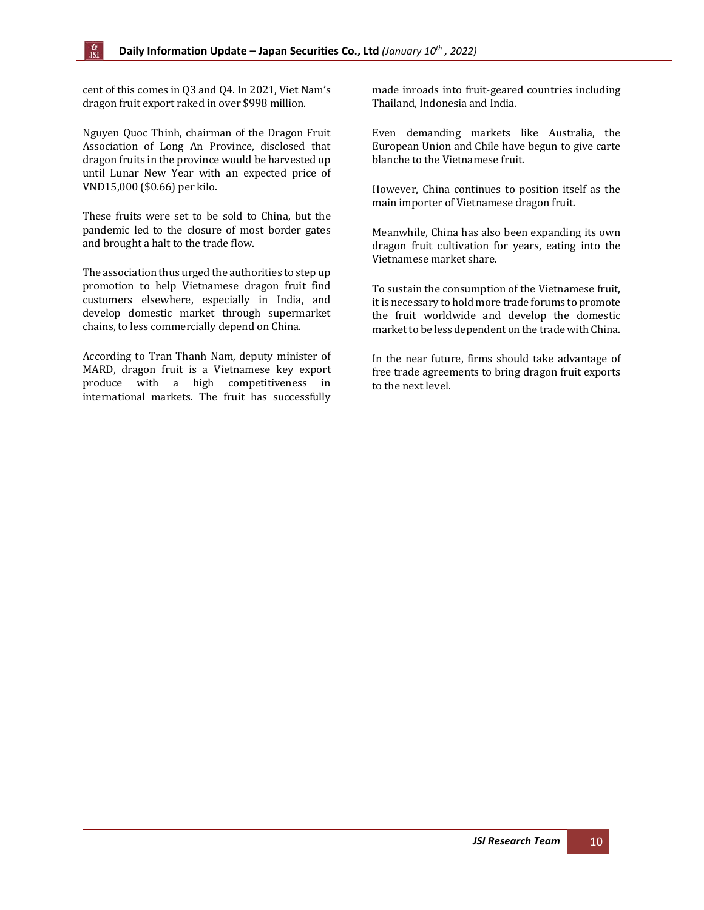cent of this comes in Q3 and Q4. In 2021, Viet Nam's dragon fruit export raked in over \$998 million.

ी<br>ISI

Nguyen Quoc Thinh, chairman of the Dragon Fruit Association of Long An Province, disclosed that dragon fruits in the province would be harvested up until Lunar New Year with an expected price of VND15,000 (\$0.66) per kilo.

These fruits were set to be sold to China, but the pandemic led to the closure of most border gates and brought a halt to the trade flow.

The association thus urged the authorities to step up promotion to help Vietnamese dragon fruit find customers elsewhere, especially in India, and develop domestic market through supermarket chains, to less commercially depend on China.

According to Tran Thanh Nam, deputy minister of MARD, dragon fruit is a Vietnamese key export produce with a high competitiveness in international markets. The fruit has successfully

made inroads into fruit-geared countries including Thailand, Indonesia and India.

Even demanding markets like Australia, the European Union and Chile have begun to give carte blanche to the Vietnamese fruit.

However, China continues to position itself as the main importer of Vietnamese dragon fruit.

Meanwhile, China has also been expanding its own dragon fruit cultivation for years, eating into the Vietnamese market share.

To sustain the consumption of the Vietnamese fruit, it is necessary to hold more trade forums to promote the fruit worldwide and develop the domestic market to be less dependent on the trade with China.

In the near future, firms should take advantage of free trade agreements to bring dragon fruit exports to the next level.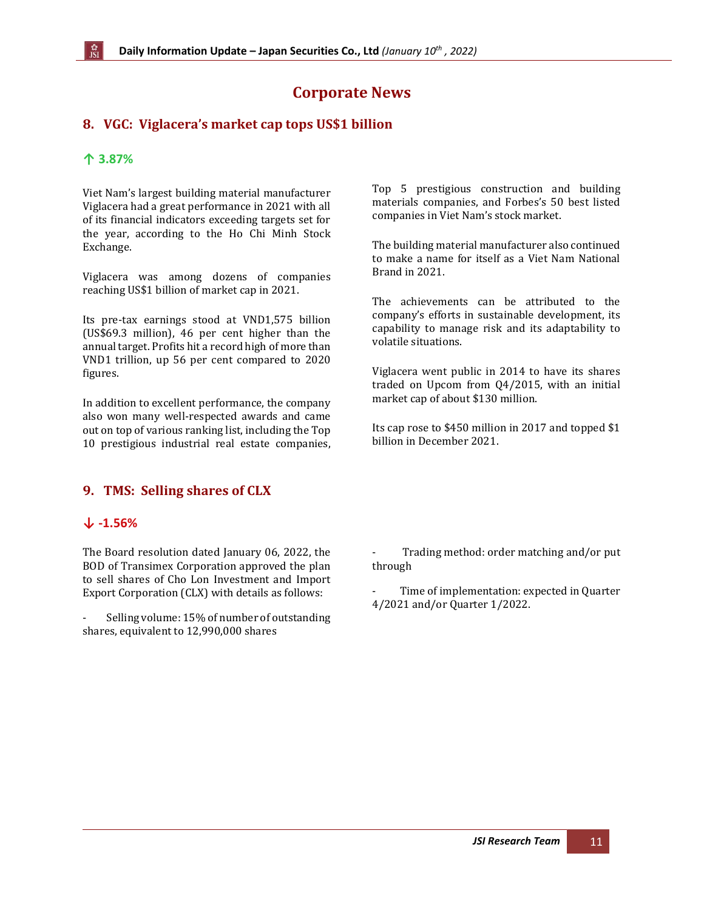# **Corporate News**

## <span id="page-10-0"></span>**8. VGC: Viglacera's market cap tops US\$1 billion**

#### **↑ 3.87%**

Viet Nam's largest building material manufacturer Viglacera had a great performance in 2021 with all of its financial indicators exceeding targets set for the year, according to the Ho Chi Minh Stock Exchange.

Viglacera was among dozens of companies reaching US\$1 billion of market cap in 2021.

Its pre-tax earnings stood at VND1,575 billion (US\$69.3 million), 46 per cent higher than the annual target. Profits hit a record high of more than VND1 trillion, up 56 per cent compared to 2020 figures.

In addition to excellent performance, the company also won many well-respected awards and came out on top of various ranking list, including the Top 10 prestigious industrial real estate companies,

#### <span id="page-10-1"></span>**9. TMS: Selling shares of CLX**

#### **↓ -1.56%**

The Board resolution dated January 06, 2022, the BOD of Transimex Corporation approved the plan to sell shares of Cho Lon Investment and Import Export Corporation (CLX) with details as follows:

Selling volume: 15% of number of outstanding shares, equivalent to 12,990,000 shares

Top 5 prestigious construction and building materials companies, and Forbes's 50 best listed companies in Viet Nam's stock market.

The building material manufacturer also continued to make a name for itself as a Viet Nam National Brand in 2021.

The achievements can be attributed to the company's efforts in sustainable development, its capability to manage risk and its adaptability to volatile situations.

Viglacera went public in 2014 to have its shares traded on Upcom from Q4/2015, with an initial market cap of about \$130 million.

Its cap rose to \$450 million in 2017 and topped \$1 billion in December 2021.

- Trading method: order matching and/or put through

Time of implementation: expected in Quarter 4/2021 and/or Quarter 1/2022.